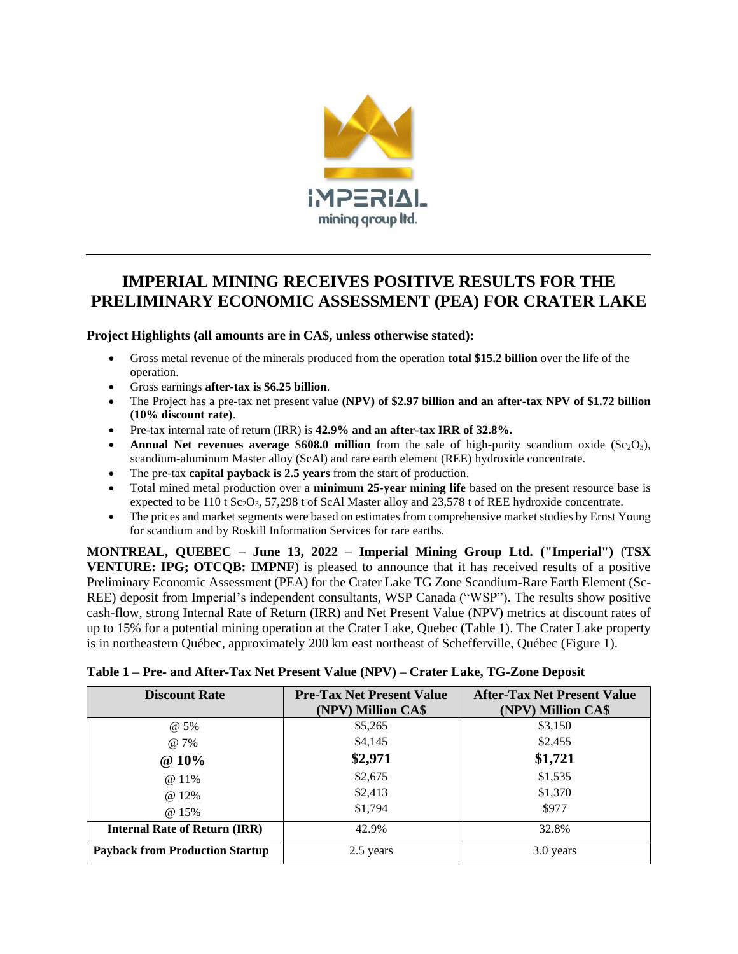

# **IMPERIAL MINING RECEIVES POSITIVE RESULTS FOR THE PRELIMINARY ECONOMIC ASSESSMENT (PEA) FOR CRATER LAKE**

**Project Highlights (all amounts are in CA\$, unless otherwise stated):**

- Gross metal revenue of the minerals produced from the operation **total \$15.2 billion** over the life of the operation.
- Gross earnings **after-tax is \$6.25 billion**.
- The Project has a pre-tax net present value **(NPV) of \$2.97 billion and an after-tax NPV of \$1.72 billion (10% discount rate)**.
- Pre-tax internal rate of return (IRR) is **42.9% and an after-tax IRR of 32.8%.**
- **Annual Net revenues average \$608.0 million** from the sale of high-purity scandium oxide  $(Sc_2O_3)$ , scandium-aluminum Master alloy (ScAl) and rare earth element (REE) hydroxide concentrate.
- The pre-tax **capital payback is 2.5 years** from the start of production.
- Total mined metal production over a **minimum 25-year mining life** based on the present resource base is expected to be  $110$  t Sc<sub>2</sub>O<sub>3</sub>, 57,298 t of ScAl Master alloy and 23,578 t of REE hydroxide concentrate.
- The prices and market segments were based on estimates from comprehensive market studies by Ernst Young for scandium and by Roskill Information Services for rare earths.

**MONTREAL, QUEBEC – June 13, 2022** – **Imperial Mining Group Ltd. ("Imperial")** (**TSX VENTURE: IPG; OTCQB: IMPNF**) is pleased to announce that it has received results of a positive Preliminary Economic Assessment (PEA) for the Crater Lake TG Zone Scandium-Rare Earth Element (Sc-REE) deposit from Imperial's independent consultants, WSP Canada ("WSP"). The results show positive cash-flow, strong Internal Rate of Return (IRR) and Net Present Value (NPV) metrics at discount rates of up to 15% for a potential mining operation at the Crater Lake, Quebec (Table 1). The Crater Lake property is in northeastern Québec, approximately 200 km east northeast of Schefferville, Québec (Figure 1).

| <b>Discount Rate</b>                   | <b>Pre-Tax Net Present Value</b><br>(NPV) Million CA\$ | <b>After-Tax Net Present Value</b><br>(NPV) Million CA\$ |
|----------------------------------------|--------------------------------------------------------|----------------------------------------------------------|
| @ 5%                                   | \$5,265                                                | \$3,150                                                  |
| @ 7%                                   | \$4,145                                                | \$2,455                                                  |
| @ 10%                                  | \$2,971                                                | \$1,721                                                  |
| @ 11%                                  | \$2,675                                                | \$1,535                                                  |
| $@12\%$                                | \$2,413                                                | \$1,370                                                  |
| @ 15%                                  | \$1,794                                                | \$977                                                    |
| <b>Internal Rate of Return (IRR)</b>   | 42.9%                                                  | 32.8%                                                    |
| <b>Payback from Production Startup</b> | 2.5 years                                              | 3.0 years                                                |

| Table 1 - Pre- and After-Tax Net Present Value (NPV) - Crater Lake, TG-Zone Deposit |  |  |  |
|-------------------------------------------------------------------------------------|--|--|--|
|-------------------------------------------------------------------------------------|--|--|--|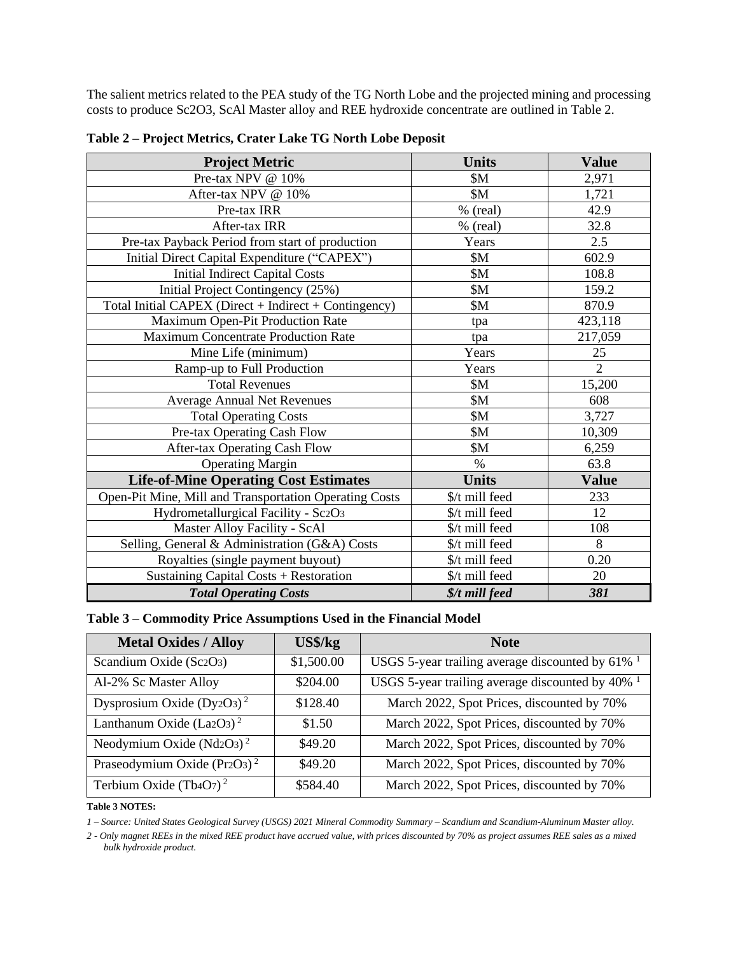The salient metrics related to the PEA study of the TG North Lobe and the projected mining and processing costs to produce Sc2O3, ScAl Master alloy and REE hydroxide concentrate are outlined in Table 2.

| <b>Project Metric</b>                                  | <b>Units</b>   | <b>Value</b>   |
|--------------------------------------------------------|----------------|----------------|
| Pre-tax NPV @ 10%                                      | \$M            | 2,971          |
| After-tax NPV @ 10%                                    | \$M\$          | 1,721          |
| Pre-tax IRR                                            | % (real)       | 42.9           |
| After-tax IRR                                          | $%$ (real)     | 32.8           |
| Pre-tax Payback Period from start of production        | Years          | 2.5            |
| Initial Direct Capital Expenditure ("CAPEX")           | \$M\$          | 602.9          |
| <b>Initial Indirect Capital Costs</b>                  | \$M\$          | 108.8          |
| Initial Project Contingency (25%)                      | \$M            | 159.2          |
| Total Initial CAPEX (Direct + Indirect + Contingency)  | \$M\$          | 870.9          |
| Maximum Open-Pit Production Rate                       | tpa            | 423,118        |
| <b>Maximum Concentrate Production Rate</b>             | tpa            | 217,059        |
| Mine Life (minimum)                                    | Years          | 25             |
| Ramp-up to Full Production                             | Years          | $\overline{2}$ |
| <b>Total Revenues</b>                                  | \$M            | 15,200         |
| <b>Average Annual Net Revenues</b>                     | \$M            | 608            |
| <b>Total Operating Costs</b>                           | \$M            | 3,727          |
| Pre-tax Operating Cash Flow                            | \$M\$          | 10,309         |
| After-tax Operating Cash Flow                          | \$M            | 6,259          |
| <b>Operating Margin</b>                                | $\%$           | 63.8           |
| <b>Life-of-Mine Operating Cost Estimates</b>           | <b>Units</b>   | <b>Value</b>   |
| Open-Pit Mine, Mill and Transportation Operating Costs | \$/t mill feed | 233            |
| Hydrometallurgical Facility - Sc2O3                    | \$/t mill feed | 12             |
| Master Alloy Facility - ScAl                           | \$/t mill feed | 108            |
| Selling, General & Administration (G&A) Costs          | \$/t mill feed | 8              |
| Royalties (single payment buyout)                      | \$/t mill feed | 0.20           |
| Sustaining Capital Costs + Restoration                 | \$/t mill feed | 20             |
| <b>Total Operating Costs</b>                           | \$/t mill feed | 381            |

**Table 2 – Project Metrics, Crater Lake TG North Lobe Deposit**

#### **Table 3 – Commodity Price Assumptions Used in the Financial Model**

| <b>Metal Oxides / Alloy</b>             | US\$/kg    | <b>Note</b>                                                    |
|-----------------------------------------|------------|----------------------------------------------------------------|
| Scandium Oxide (Sc2O3)                  | \$1,500.00 | USGS 5-year trailing average discounted by $61\%$ <sup>1</sup> |
| Al-2% Sc Master Alloy                   | \$204.00   | USGS 5-year trailing average discounted by 40% 1               |
| Dysprosium Oxide $(Dy2O3)^2$            | \$128.40   | March 2022, Spot Prices, discounted by 70%                     |
| Lanthanum Oxide (La2O3) <sup>2</sup>    | \$1.50     | March 2022, Spot Prices, discounted by 70%                     |
| Neodymium Oxide (Nd2O3) <sup>2</sup>    | \$49.20    | March 2022, Spot Prices, discounted by 70%                     |
| Praseodymium Oxide (Pr2O3) <sup>2</sup> | \$49.20    | March 2022, Spot Prices, discounted by 70%                     |
| Terbium Oxide (Tb4O7) <sup>2</sup>      | \$584.40   | March 2022, Spot Prices, discounted by 70%                     |

#### **Table 3 NOTES:**

*1 – Source: United States Geological Survey (USGS) 2021 Mineral Commodity Summary – Scandium and Scandium-Aluminum Master alloy.*

*2 - Only magnet REEs in the mixed REE product have accrued value, with prices discounted by 70% as project assumes REE sales as a mixed bulk hydroxide product.*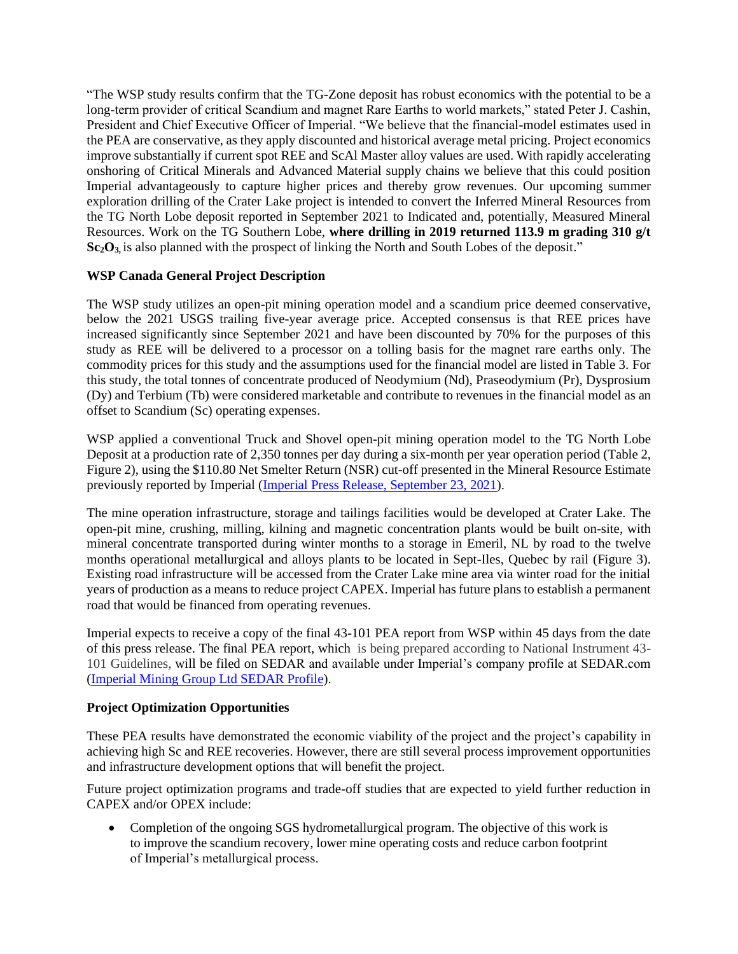"The WSP study results confirm that the TG-Zone deposit has robust economics with the potential to be a long-term provider of critical Scandium and magnet Rare Earths to world markets," stated Peter J. Cashin, President and Chief Executive Officer of Imperial. "We believe that the financial-model estimates used in the PEA are conservative, as they apply discounted and historical average metal pricing. Project economics improve substantially if current spot REE and ScAl Master alloy values are used. With rapidly accelerating onshoring of Critical Minerals and Advanced Material supply chains we believe that this could position Imperial advantageously to capture higher prices and thereby grow revenues. Our upcoming summer exploration drilling of the Crater Lake project is intended to convert the Inferred Mineral Resources from the TG North Lobe deposit reported in September 2021 to Indicated and, potentially, Measured Mineral Resources. Work on the TG Southern Lobe, **where drilling in 2019 returned 113.9 m grading 310 g/t Sc<sub>2</sub>O<sub>3</sub>**, is also planned with the prospect of linking the North and South Lobes of the deposit."

# **WSP Canada General Project Description**

The WSP study utilizes an open-pit mining operation model and a scandium price deemed conservative, below the 2021 USGS trailing five-year average price. Accepted consensus is that REE prices have increased significantly since September 2021 and have been discounted by 70% for the purposes of this study as REE will be delivered to a processor on a tolling basis for the magnet rare earths only. The commodity prices for this study and the assumptions used for the financial model are listed in Table 3. For this study, the total tonnes of concentrate produced of Neodymium (Nd), Praseodymium (Pr), Dysprosium (Dy) and Terbium (Tb) were considered marketable and contribute to revenues in the financial model as an offset to Scandium (Sc) operating expenses.

WSP applied a conventional Truck and Shovel open-pit mining operation model to the TG North Lobe Deposit at a production rate of 2,350 tonnes per day during a six-month per year operation period (Table 2, Figure 2), using the \$110.80 Net Smelter Return (NSR) cut-off presented in the Mineral Resource Estimate previously reported by Imperial [\(Imperial Press Release, September 23, 2021\)](https://imperialmgp.com/news-releases/news/2021/imperial-mining-receives-highly-encouraging-ni-43-101-resource-estimate-for-the-tg-scandium-rare-earth-zone-remains-open-to/).

The mine operation infrastructure, storage and tailings facilities would be developed at Crater Lake. The open-pit mine, crushing, milling, kilning and magnetic concentration plants would be built on-site, with mineral concentrate transported during winter months to a storage in Emeril, NL by road to the twelve months operational metallurgical and alloys plants to be located in Sept-Iles, Quebec by rail (Figure 3). Existing road infrastructure will be accessed from the Crater Lake mine area via winter road for the initial years of production as a means to reduce project CAPEX. Imperial has future plans to establish a permanent road that would be financed from operating revenues.

Imperial expects to receive a copy of the final 43-101 PEA report from WSP within 45 days from the date of this press release. The final PEA report, which is being prepared according to National Instrument 43- 101 Guidelines, will be filed on SEDAR and available under Imperial's company profile at SEDAR.com [\(Imperial Mining Group Ltd SEDAR Profile\)](file:///C:/Users/Admin/AppData/Local/Microsoft/Windows/INetCache/Content.Outlook/EXKMIHRW/Imperial%20Mining%20Group%20Ltd%20SEDAR%20Profile).

# **Project Optimization Opportunities**

These PEA results have demonstrated the economic viability of the project and the project's capability in achieving high Sc and REE recoveries. However, there are still several process improvement opportunities and infrastructure development options that will benefit the project.

Future project optimization programs and trade-off studies that are expected to yield further reduction in CAPEX and/or OPEX include:

• Completion of the ongoing SGS hydrometallurgical program. The objective of this work is to improve the scandium recovery, lower mine operating costs and reduce carbon footprint of Imperial's metallurgical process.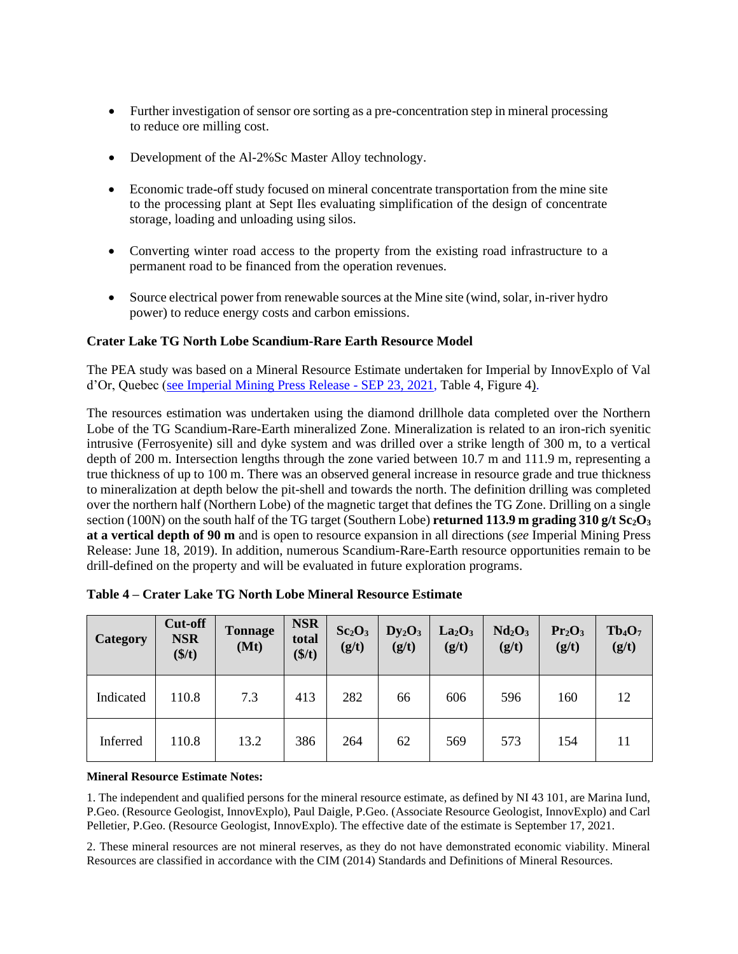- Further investigation of sensor ore sorting as a pre-concentration step in mineral processing to reduce ore milling cost.
- Development of the Al-2%Sc Master Alloy technology.
- Economic trade-off study focused on mineral concentrate transportation from the mine site to the processing plant at Sept Iles evaluating simplification of the design of concentrate storage, loading and unloading using silos.
- Converting winter road access to the property from the existing road infrastructure to a permanent road to be financed from the operation revenues.
- Source electrical power from renewable sources at the Mine site (wind, solar, in-river hydro power) to reduce energy costs and carbon emissions.

### **Crater Lake TG North Lobe Scandium-Rare Earth Resource Model**

The PEA study was based on a Mineral Resource Estimate undertaken for Imperial by InnovExplo of Val d'Or, Quebec [\(see Imperial Mining Press Release -](https://imperialmgp.com/news-releases/news/2021/imperial-mining-receives-highly-encouraging-ni-43-101-resource-estimate-for-the-tg-scandium-rare-earth-zone-remains-open-to/) SEP 23, 2021, Table 4, Figure 4).

The resources estimation was undertaken using the diamond drillhole data completed over the Northern Lobe of the TG Scandium-Rare-Earth mineralized Zone. Mineralization is related to an iron-rich syenitic intrusive (Ferrosyenite) sill and dyke system and was drilled over a strike length of 300 m, to a vertical depth of 200 m. Intersection lengths through the zone varied between 10.7 m and 111.9 m, representing a true thickness of up to 100 m. There was an observed general increase in resource grade and true thickness to mineralization at depth below the pit-shell and towards the north. The definition drilling was completed over the northern half (Northern Lobe) of the magnetic target that defines the TG Zone. Drilling on a single section (100N) on the south half of the TG target (Southern Lobe) **returned 113.9 m grading 310 g/t Sc<sub>2</sub>O**<sub>3</sub> **at a vertical depth of 90 m** and is open to resource expansion in all directions (*see* Imperial Mining Press Release: June 18, 2019). In addition, numerous Scandium-Rare-Earth resource opportunities remain to be drill-defined on the property and will be evaluated in future exploration programs.

| <b>Category</b> | Cut-off<br><b>NSR</b><br>(\$/t) | <b>Tonnage</b><br>(Mt) | <b>NSR</b><br>total<br>(\$/t) | Sc <sub>2</sub> O <sub>3</sub><br>(g/t) | $Dy_2O_3$<br>(g/t) | La <sub>2</sub> O <sub>3</sub><br>(g/t) | Nd <sub>2</sub> O <sub>3</sub><br>(g/t) | Pr <sub>2</sub> O <sub>3</sub><br>(g/t) | $Tb_4O_7$<br>(g/t) |
|-----------------|---------------------------------|------------------------|-------------------------------|-----------------------------------------|--------------------|-----------------------------------------|-----------------------------------------|-----------------------------------------|--------------------|
| Indicated       | 110.8                           | 7.3                    | 413                           | 282                                     | 66                 | 606                                     | 596                                     | 160                                     | 12                 |
| Inferred        | 110.8                           | 13.2                   | 386                           | 264                                     | 62                 | 569                                     | 573                                     | 154                                     |                    |

|  |  | Table 4 – Crater Lake TG North Lobe Mineral Resource Estimate |
|--|--|---------------------------------------------------------------|
|  |  |                                                               |

#### **Mineral Resource Estimate Notes:**

1. The independent and qualified persons for the mineral resource estimate, as defined by NI 43 101, are Marina Iund, P.Geo. (Resource Geologist, InnovExplo), Paul Daigle, P.Geo. (Associate Resource Geologist, InnovExplo) and Carl Pelletier, P.Geo. (Resource Geologist, InnovExplo). The effective date of the estimate is September 17, 2021.

2. These mineral resources are not mineral reserves, as they do not have demonstrated economic viability. Mineral Resources are classified in accordance with the CIM (2014) Standards and Definitions of Mineral Resources.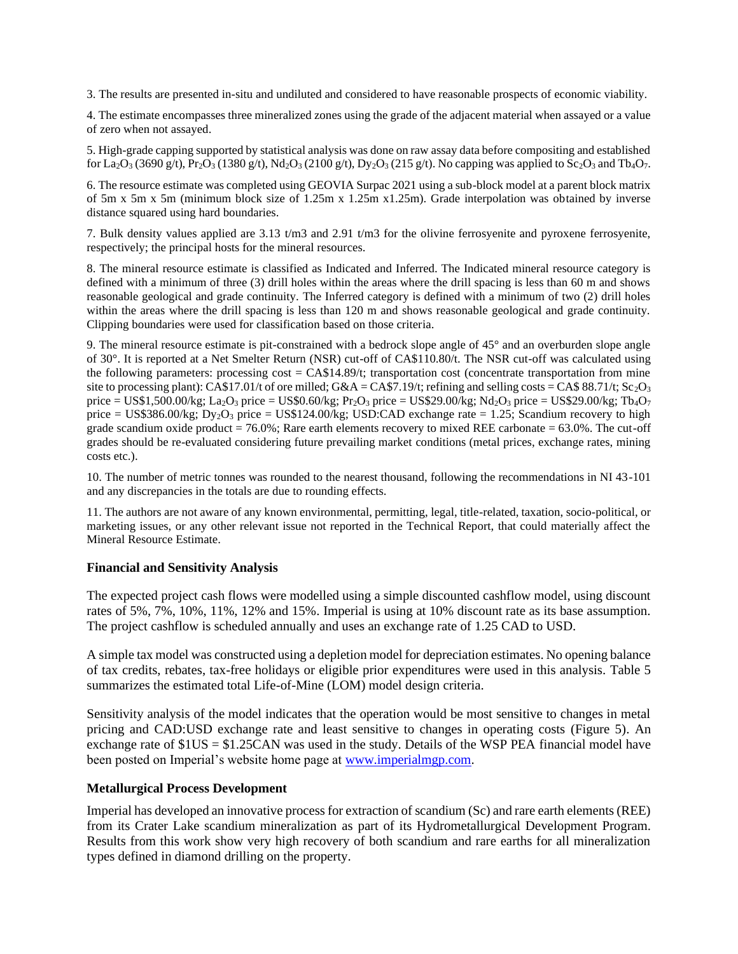3. The results are presented in-situ and undiluted and considered to have reasonable prospects of economic viability.

4. The estimate encompasses three mineralized zones using the grade of the adjacent material when assayed or a value of zero when not assayed.

5. High-grade capping supported by statistical analysis was done on raw assay data before compositing and established for La<sub>2</sub>O<sub>3</sub> (3690 g/t), Pr<sub>2</sub>O<sub>3</sub> (1380 g/t), Nd<sub>2</sub>O<sub>3</sub> (2100 g/t), Dy<sub>2</sub>O<sub>3</sub> (215 g/t). No capping was applied to Sc<sub>2</sub>O<sub>3</sub> and Tb<sub>4</sub>O<sub>7</sub>.

6. The resource estimate was completed using GEOVIA Surpac 2021 using a sub-block model at a parent block matrix of 5m x 5m x 5m (minimum block size of 1.25m x 1.25m x1.25m). Grade interpolation was obtained by inverse distance squared using hard boundaries.

7. Bulk density values applied are 3.13 t/m3 and 2.91 t/m3 for the olivine ferrosyenite and pyroxene ferrosyenite, respectively; the principal hosts for the mineral resources.

8. The mineral resource estimate is classified as Indicated and Inferred. The Indicated mineral resource category is defined with a minimum of three (3) drill holes within the areas where the drill spacing is less than 60 m and shows reasonable geological and grade continuity. The Inferred category is defined with a minimum of two (2) drill holes within the areas where the drill spacing is less than 120 m and shows reasonable geological and grade continuity. Clipping boundaries were used for classification based on those criteria.

9. The mineral resource estimate is pit-constrained with a bedrock slope angle of 45° and an overburden slope angle of 30°. It is reported at a Net Smelter Return (NSR) cut-off of CA\$110.80/t. The NSR cut-off was calculated using the following parameters: processing  $cost = CA$14.89/t$ ; transportation cost (concentrate transportation from mine site to processing plant): CA\$17.01/t of ore milled; G&A = CA\$7.19/t; refining and selling costs = CA\$ 88.71/t; Sc<sub>2</sub>O<sub>3</sub> price = US\$1,500.00/kg; La<sub>2</sub>O<sub>3</sub> price = US\$0.60/kg; Pr<sub>2</sub>O<sub>3</sub> price = US\$29.00/kg; Nd<sub>2</sub>O<sub>3</sub> price = US\$29.00/kg; Tb<sub>4</sub>O<sub>7</sub> price = US\$386.00/kg;  $Dy_2O_3$  price = US\$124.00/kg; USD:CAD exchange rate = 1.25; Scandium recovery to high grade scandium oxide product = 76.0%; Rare earth elements recovery to mixed REE carbonate =  $63.0\%$ . The cut-off grades should be re-evaluated considering future prevailing market conditions (metal prices, exchange rates, mining costs etc.).

10. The number of metric tonnes was rounded to the nearest thousand, following the recommendations in NI 43-101 and any discrepancies in the totals are due to rounding effects.

11. The authors are not aware of any known environmental, permitting, legal, title-related, taxation, socio-political, or marketing issues, or any other relevant issue not reported in the Technical Report, that could materially affect the Mineral Resource Estimate.

#### **Financial and Sensitivity Analysis**

The expected project cash flows were modelled using a simple discounted cashflow model, using discount rates of 5%, 7%, 10%, 11%, 12% and 15%. Imperial is using at 10% discount rate as its base assumption. The project cashflow is scheduled annually and uses an exchange rate of 1.25 CAD to USD.

A simple tax model was constructed using a depletion model for depreciation estimates. No opening balance of tax credits, rebates, tax-free holidays or eligible prior expenditures were used in this analysis. Table 5 summarizes the estimated total Life-of-Mine (LOM) model design criteria.

Sensitivity analysis of the model indicates that the operation would be most sensitive to changes in metal pricing and CAD:USD exchange rate and least sensitive to changes in operating costs (Figure 5). An exchange rate of \$1US = \$1.25CAN was used in the study. Details of the WSP PEA financial model have been posted on Imperial's website home page at [www.imperialmgp.com.](http://www.imperialmgp.com/)

#### **Metallurgical Process Development**

Imperial has developed an innovative process for extraction of scandium (Sc) and rare earth elements (REE) from its Crater Lake scandium mineralization as part of its Hydrometallurgical Development Program. Results from this work show very high recovery of both scandium and rare earths for all mineralization types defined in diamond drilling on the property.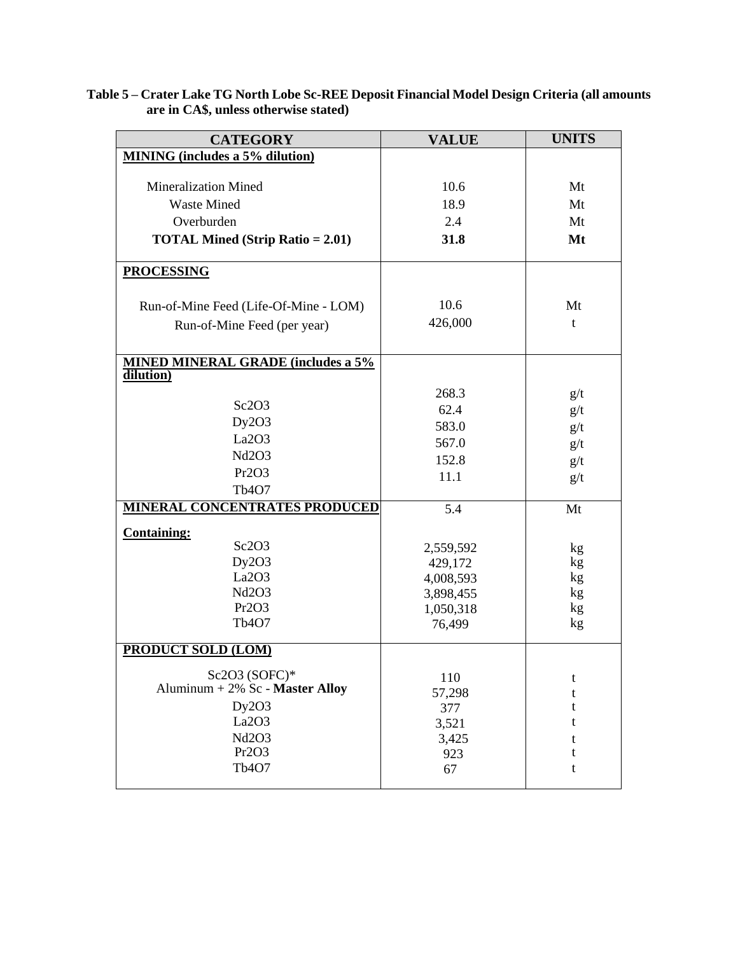|                                       | Table 5 – Crater Lake TG North Lobe Sc-REE Deposit Financial Model Design Criteria (all amounts |
|---------------------------------------|-------------------------------------------------------------------------------------------------|
| are in CA\$, unless otherwise stated) |                                                                                                 |

| <b>CATEGORY</b>                           | <b>VALUE</b> | <b>UNITS</b> |
|-------------------------------------------|--------------|--------------|
| <b>MINING</b> (includes a 5% dilution)    |              |              |
|                                           |              |              |
| <b>Mineralization Mined</b>               | 10.6         | Mt           |
| <b>Waste Mined</b>                        | 18.9         | Mt           |
| Overburden                                | 2.4          | Mt           |
| <b>TOTAL Mined (Strip Ratio = 2.01)</b>   | 31.8         | Mt           |
|                                           |              |              |
| <b>PROCESSING</b>                         |              |              |
|                                           |              |              |
| Run-of-Mine Feed (Life-Of-Mine - LOM)     | 10.6         | Mt           |
| Run-of-Mine Feed (per year)               | 426,000      | t            |
|                                           |              |              |
| <b>MINED MINERAL GRADE (includes a 5%</b> |              |              |
| dilution)                                 |              |              |
|                                           | 268.3        | g/t          |
| Sc2O3                                     | 62.4         | g/t          |
| Dy2O3                                     | 583.0        | g/t          |
| La2O3                                     | 567.0        | g/t          |
| Nd2O3                                     | 152.8        | g/t          |
| Pr2O3                                     | 11.1         | g/t          |
| Tb <sub>4</sub> O <sub>7</sub>            |              |              |
| <b>MINERAL CONCENTRATES PRODUCED</b>      | 5.4          | Mt           |
| <b>Containing:</b>                        |              |              |
| Sc2O3                                     | 2,559,592    | kg           |
| Dy2O3                                     | 429,172      | kg           |
| La2O3                                     | 4,008,593    | kg           |
| Nd2O3                                     | 3,898,455    | kg           |
| Pr2O3                                     | 1,050,318    | kg           |
| Tb <sub>4</sub> O <sub>7</sub>            | 76,499       | kg           |
| <b>PRODUCT SOLD (LOM)</b>                 |              |              |
|                                           |              |              |
| Sc2O3 (SOFC)*                             | 110          | t            |
| Aluminum + 2% Sc - Master Alloy           | 57,298       | t            |
| Dy2O3                                     | 377          | t            |
| La2O3                                     | 3,521        | t            |
| Nd2O3                                     | 3,425        | t            |
| Pr2O3                                     | 923          | t            |
| Tb <sub>4</sub> O <sub>7</sub>            | 67           | t            |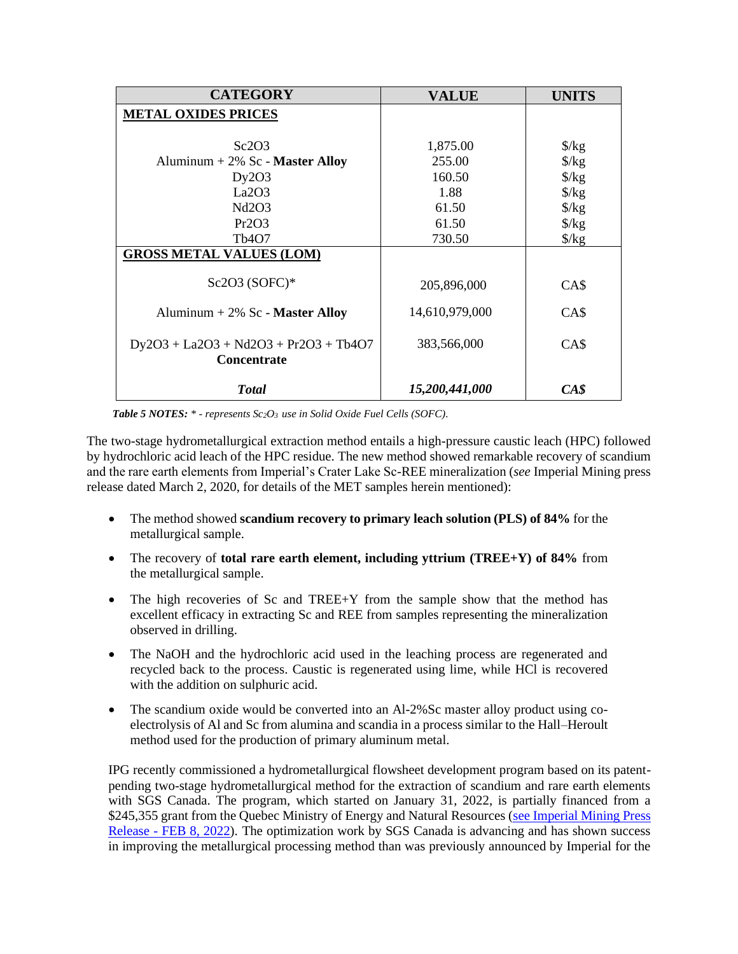| <b>CATEGORY</b>                                               | <b>VALUE</b>   | <b>UNITS</b>         |
|---------------------------------------------------------------|----------------|----------------------|
| <b>METAL OXIDES PRICES</b>                                    |                |                      |
|                                                               |                |                      |
| Sc2O3                                                         | 1,875.00       | $\frac{\sqrt{2}}{2}$ |
| Aluminum + $2\%$ Sc - Master Alloy                            | 255.00         | $\frac{\sqrt{2}}{2}$ |
| Dy2O3                                                         | 160.50         | $\frac{\sqrt{2}}{2}$ |
| La2O3                                                         | 1.88           | $\frac{\sqrt{2}}{2}$ |
| Nd2O3                                                         | 61.50          | $\frac{\sqrt{2}}{2}$ |
| Pr2O3                                                         | 61.50          | $\frac{\sqrt{2}}{2}$ |
| Tb <sub>4</sub> O <sub>7</sub>                                | 730.50         | $\frac{\sqrt{2}}{2}$ |
| <b>GROSS METAL VALUES (LOM)</b>                               |                |                      |
| Sc2O3 (SOFC)*                                                 | 205,896,000    | CA\$                 |
| Aluminum + $2\%$ Sc - Master Alloy                            | 14,610,979,000 | CAS                  |
| $Dy2O3 + La2O3 + Nd2O3 + Pr2O3 + Tb4O7$<br><b>Concentrate</b> | 383,566,000    | CA\$                 |
| <b>Total</b>                                                  | 15,200,441,000 | CAS                  |

*Table 5 NOTES: \* - represents Sc2O3 use in Solid Oxide Fuel Cells (SOFC).*

The two-stage hydrometallurgical extraction method entails a high-pressure caustic leach (HPC) followed by hydrochloric acid leach of the HPC residue. The new method showed remarkable recovery of scandium and the rare earth elements from Imperial's Crater Lake Sc-REE mineralization (*see* Imperial Mining press release dated March 2, 2020, for details of the MET samples herein mentioned):

- The method showed **scandium recovery to primary leach solution (PLS) of 84%** for the metallurgical sample.
- The recovery of **total rare earth element, including yttrium (TREE+Y) of 84%** from the metallurgical sample.
- The high recoveries of Sc and TREE+Y from the sample show that the method has excellent efficacy in extracting Sc and REE from samples representing the mineralization observed in drilling.
- The NaOH and the hydrochloric acid used in the leaching process are regenerated and recycled back to the process. Caustic is regenerated using lime, while HCl is recovered with the addition on sulphuric acid.
- The scandium oxide would be converted into an Al-2%Sc master alloy product using coelectrolysis of Al and Sc from alumina and scandia in a process similar to the Hall–Heroult method used for the production of primary aluminum metal.

IPG recently commissioned a hydrometallurgical flowsheet development program based on its patentpending two-stage hydrometallurgical method for the extraction of scandium and rare earth elements with SGS Canada. The program, which started on January 31, 2022, is partially financed from a \$245,355 grant from the Quebec Ministry of Energy and Natural Resources (see Imperial Mining Press Release - [FEB 8, 2022\)](https://imperialmgp.com/news-releases/news/2022/imperial-mining-awarded-245-355-from-the-quebec-government-to-optimize-its-crater-lake-scandium-recovery-process/). The optimization work by SGS Canada is advancing and has shown success in improving the metallurgical processing method than was previously announced by Imperial for the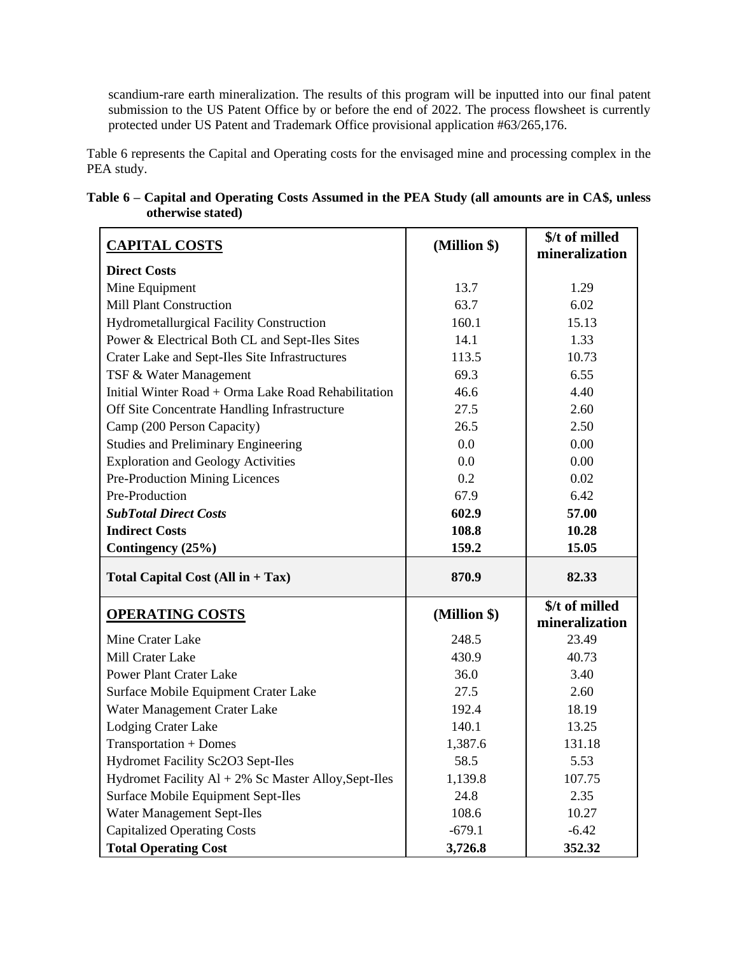scandium-rare earth mineralization. The results of this program will be inputted into our final patent submission to the US Patent Office by or before the end of 2022. The process flowsheet is currently protected under US Patent and Trademark Office provisional application #63/265,176.

Table 6 represents the Capital and Operating costs for the envisaged mine and processing complex in the PEA study.

|                   | Table 6 – Capital and Operating Costs Assumed in the PEA Study (all amounts are in CA\$, unless |  |  |
|-------------------|-------------------------------------------------------------------------------------------------|--|--|
| otherwise stated) |                                                                                                 |  |  |

| <b>CAPITAL COSTS</b>                                    | (Million \$) | \$/t of milled                   |
|---------------------------------------------------------|--------------|----------------------------------|
| <b>Direct Costs</b>                                     |              | mineralization                   |
|                                                         | 13.7         | 1.29                             |
| Mine Equipment<br>Mill Plant Construction               | 63.7         | 6.02                             |
|                                                         |              |                                  |
| <b>Hydrometallurgical Facility Construction</b>         | 160.1        | 15.13                            |
| Power & Electrical Both CL and Sept-Iles Sites          | 14.1         | 1.33                             |
| Crater Lake and Sept-Iles Site Infrastructures          | 113.5        | 10.73                            |
| TSF & Water Management                                  | 69.3         | 6.55                             |
| Initial Winter Road + Orma Lake Road Rehabilitation     | 46.6         | 4.40                             |
| Off Site Concentrate Handling Infrastructure            | 27.5         | 2.60                             |
| Camp (200 Person Capacity)                              | 26.5         | 2.50                             |
| <b>Studies and Preliminary Engineering</b>              | 0.0          | 0.00                             |
| <b>Exploration and Geology Activities</b>               | 0.0          | 0.00                             |
| Pre-Production Mining Licences                          | 0.2          | 0.02                             |
| Pre-Production                                          | 67.9         | 6.42                             |
| <b>SubTotal Direct Costs</b>                            | 602.9        | 57.00                            |
| <b>Indirect Costs</b>                                   | 108.8        | 10.28                            |
| Contingency (25%)                                       | 159.2        | 15.05                            |
| Total Capital Cost $(Allin + Tax)$                      | 870.9        | 82.33                            |
| <b>OPERATING COSTS</b>                                  | (Million \$) | \$/t of milled<br>mineralization |
| Mine Crater Lake                                        | 248.5        | 23.49                            |
| Mill Crater Lake                                        | 430.9        | 40.73                            |
| <b>Power Plant Crater Lake</b>                          | 36.0         | 3.40                             |
| Surface Mobile Equipment Crater Lake                    | 27.5         | 2.60                             |
| Water Management Crater Lake                            | 192.4        | 18.19                            |
| Lodging Crater Lake                                     | 140.1        | 13.25                            |
| Transportation + Domes                                  | 1,387.6      | 131.18                           |
| Hydromet Facility Sc2O3 Sept-Iles                       | 58.5         | 5.53                             |
| Hydromet Facility $Al + 2\%$ Sc Master Alloy, Sept-Iles | 1,139.8      | 107.75                           |
| Surface Mobile Equipment Sept-Iles                      | 24.8         | 2.35                             |
| Water Management Sept-Iles                              | 108.6        | 10.27                            |
| <b>Capitalized Operating Costs</b>                      | $-679.1$     | $-6.42$                          |
| <b>Total Operating Cost</b>                             | 3,726.8      | 352.32                           |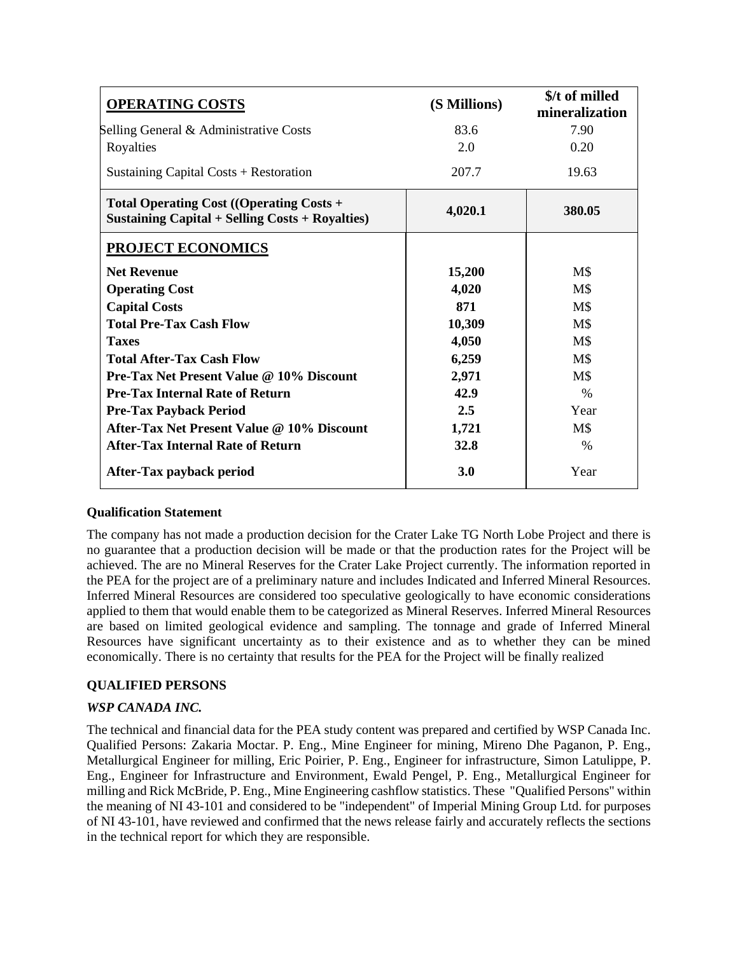| <b>OPERATING COSTS</b>                                                                             | (S Millions) | \$/t of milled<br>mineralization |
|----------------------------------------------------------------------------------------------------|--------------|----------------------------------|
| Selling General & Administrative Costs                                                             | 83.6         | 7.90                             |
| Royalties                                                                                          | 2.0          | 0.20                             |
| Sustaining Capital Costs $+$ Restoration                                                           | 207.7        | 19.63                            |
| Total Operating Cost ((Operating Costs +<br><b>Sustaining Capital + Selling Costs + Royalties)</b> | 4,020.1      | 380.05                           |
| <b>PROJECT ECONOMICS</b>                                                                           |              |                                  |
| <b>Net Revenue</b>                                                                                 | 15,200       | $M\$                             |
| <b>Operating Cost</b>                                                                              | 4,020        | $M\$                             |
| <b>Capital Costs</b>                                                                               | 871          | M\$                              |
| <b>Total Pre-Tax Cash Flow</b>                                                                     | 10,309       | M\$                              |
| <b>Taxes</b>                                                                                       | 4,050        | $M\$                             |
| <b>Total After-Tax Cash Flow</b>                                                                   | 6,259        | $M\$                             |
| <b>Pre-Tax Net Present Value @ 10% Discount</b>                                                    | 2,971        | $M\$                             |
| <b>Pre-Tax Internal Rate of Return</b>                                                             | 42.9         | $\%$                             |
| <b>Pre-Tax Payback Period</b>                                                                      | 2.5          | Year                             |
| After-Tax Net Present Value @ 10% Discount                                                         | 1,721        | $M\$                             |
| <b>After-Tax Internal Rate of Return</b>                                                           | 32.8         | $\%$                             |
| After-Tax payback period                                                                           | <b>3.0</b>   | Year                             |

#### **Qualification Statement**

The company has not made a production decision for the Crater Lake TG North Lobe Project and there is no guarantee that a production decision will be made or that the production rates for the Project will be achieved. The are no Mineral Reserves for the Crater Lake Project currently. The information reported in the PEA for the project are of a preliminary nature and includes Indicated and Inferred Mineral Resources. Inferred Mineral Resources are considered too speculative geologically to have economic considerations applied to them that would enable them to be categorized as Mineral Reserves. Inferred Mineral Resources are based on limited geological evidence and sampling. The tonnage and grade of Inferred Mineral Resources have significant uncertainty as to their existence and as to whether they can be mined economically. There is no certainty that results for the PEA for the Project will be finally realized

# **QUALIFIED PERSONS**

#### *WSP CANADA INC.*

The technical and financial data for the PEA study content was prepared and certified by WSP Canada Inc. Qualified Persons: Zakaria Moctar. P. Eng., Mine Engineer for mining, Mireno Dhe Paganon, P. Eng., Metallurgical Engineer for milling, Eric Poirier, P. Eng., Engineer for infrastructure, Simon Latulippe, P. Eng., Engineer for Infrastructure and Environment, Ewald Pengel, P. Eng., Metallurgical Engineer for milling and Rick McBride, P. Eng., Mine Engineering cashflow statistics. These "Qualified Persons" within the meaning of NI 43-101 and considered to be "independent" of Imperial Mining Group Ltd. for purposes of NI 43-101, have reviewed and confirmed that the news release fairly and accurately reflects the sections in the technical report for which they are responsible.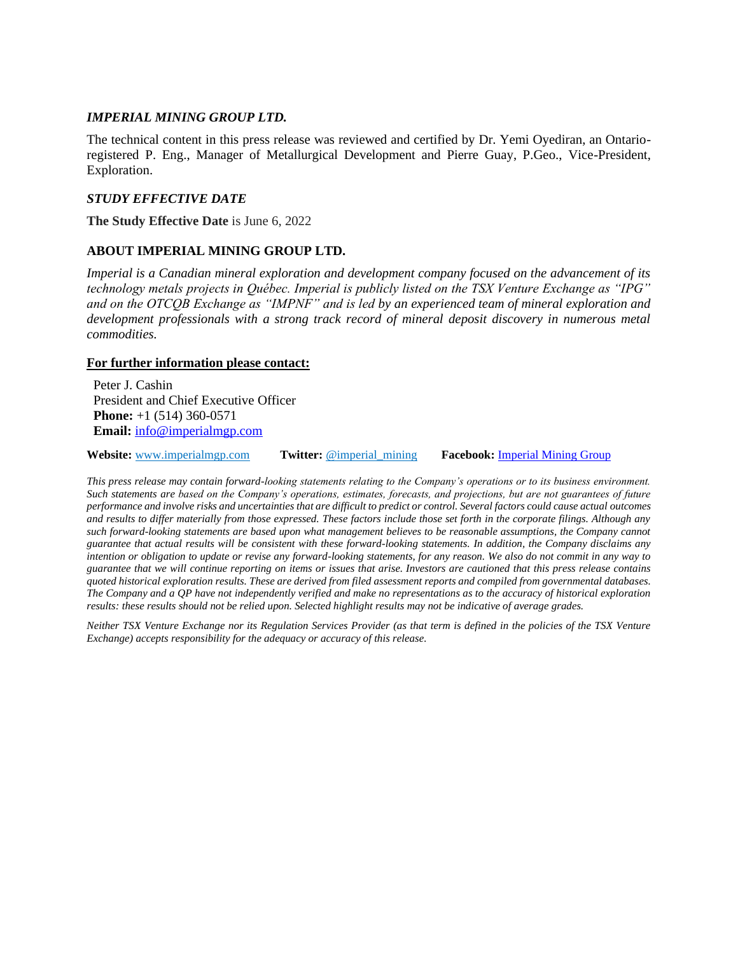#### *IMPERIAL MINING GROUP LTD.*

The technical content in this press release was reviewed and certified by Dr. Yemi Oyediran, an Ontarioregistered P. Eng., Manager of Metallurgical Development and Pierre Guay, P.Geo., Vice-President, Exploration.

### *STUDY EFFECTIVE DATE*

**The Study Effective Date** is June 6, 2022

# **ABOUT IMPERIAL MINING GROUP LTD.**

*Imperial is a Canadian mineral exploration and development company focused on the advancement of its technology metals projects in Québec. Imperial is publicly listed on the TSX Venture Exchange as "IPG" and on the OTCQB Exchange as "IMPNF" and is led by an experienced team of mineral exploration and development professionals with a strong track record of mineral deposit discovery in numerous metal commodities.*

#### **For further information please contact:**

Peter J. Cashin President and Chief Executive Officer **Phone:** +1 (514) 360-0571 **Email:** [info@imperialmgp.com](mailto:info@imperialmgp.com)

**Website:** [www.imperialmgp.com](http://www.imperialmgp.com/) **Twitter:** @imperial\_mining **Facebook:** [Imperial Mining Group](https://www.facebook.com/Imperial-Mining-Group-123912795667445/)

*This press release may contain forward-looking statements relating to the Company's operations or to its business environment. Such statements are based on the Company's operations, estimates, forecasts, and projections, but are not guarantees of future performance and involve risks and uncertainties that are difficult to predict or control. Several factors could cause actual outcomes and results to differ materially from those expressed. These factors include those set forth in the corporate filings. Although any such forward-looking statements are based upon what management believes to be reasonable assumptions, the Company cannot guarantee that actual results will be consistent with these forward-looking statements. In addition, the Company disclaims any intention or obligation to update or revise any forward-looking statements, for any reason. We also do not commit in any way to guarantee that we will continue reporting on items or issues that arise. Investors are cautioned that this press release contains quoted historical exploration results. These are derived from filed assessment reports and compiled from governmental databases. The Company and a QP have not independently verified and make no representations as to the accuracy of historical exploration results: these results should not be relied upon. Selected highlight results may not be indicative of average grades.*

*Neither TSX Venture Exchange nor its Regulation Services Provider (as that term is defined in the policies of the TSX Venture Exchange) accepts responsibility for the adequacy or accuracy of this release.*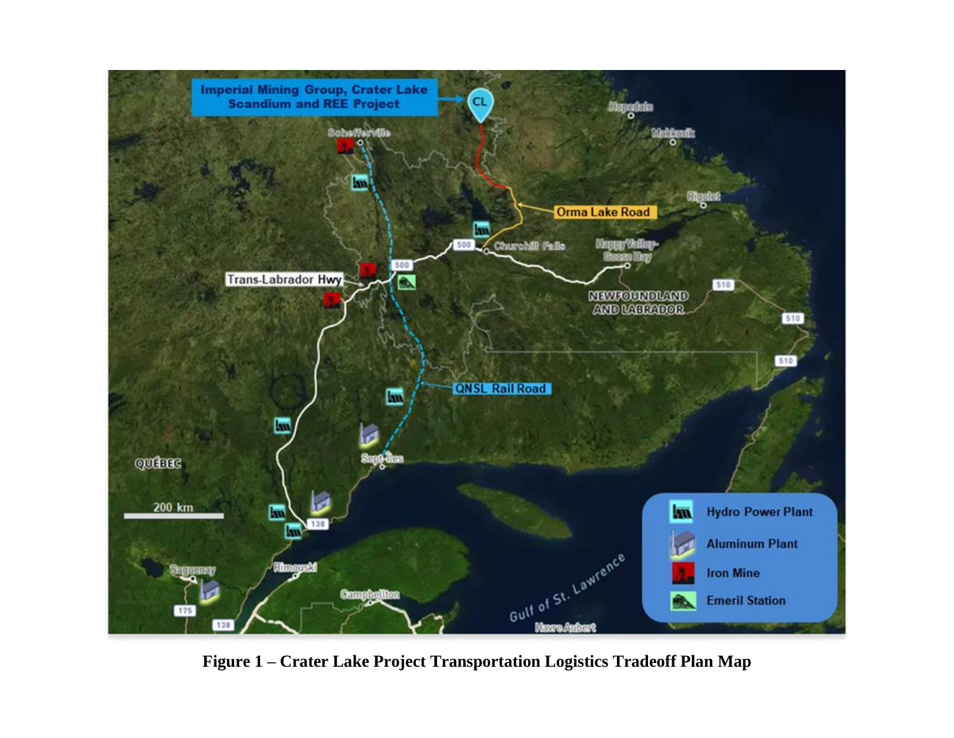

**Figure 1 – Crater Lake Project Transportation Logistics Tradeoff Plan Map**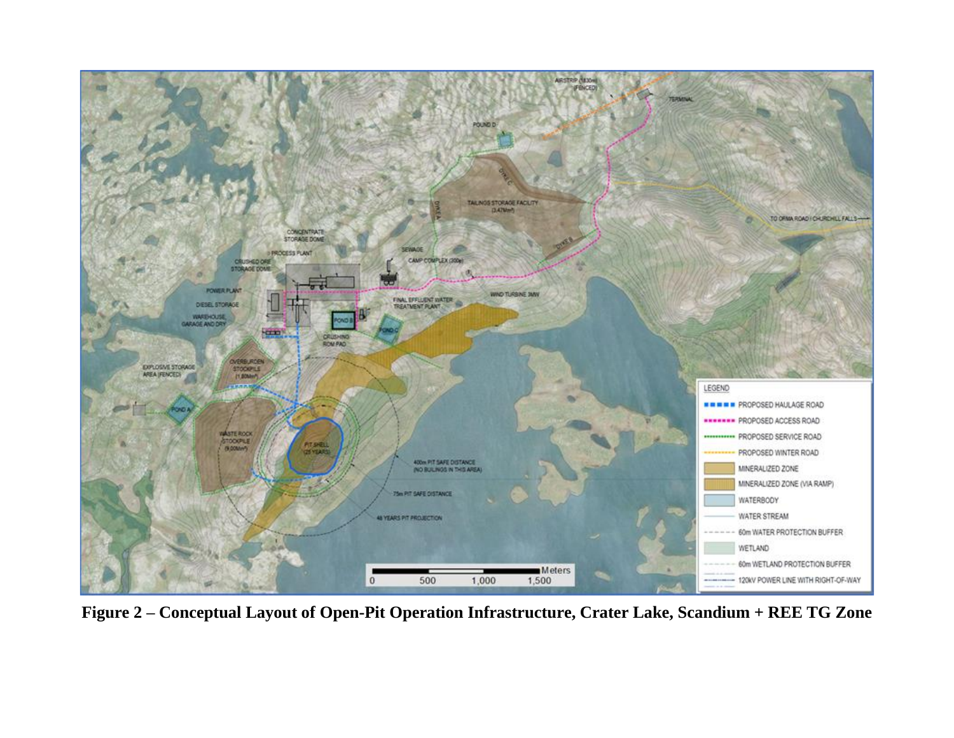

**Figure 2 – Conceptual Layout of Open-Pit Operation Infrastructure, Crater Lake, Scandium + REE TG Zone**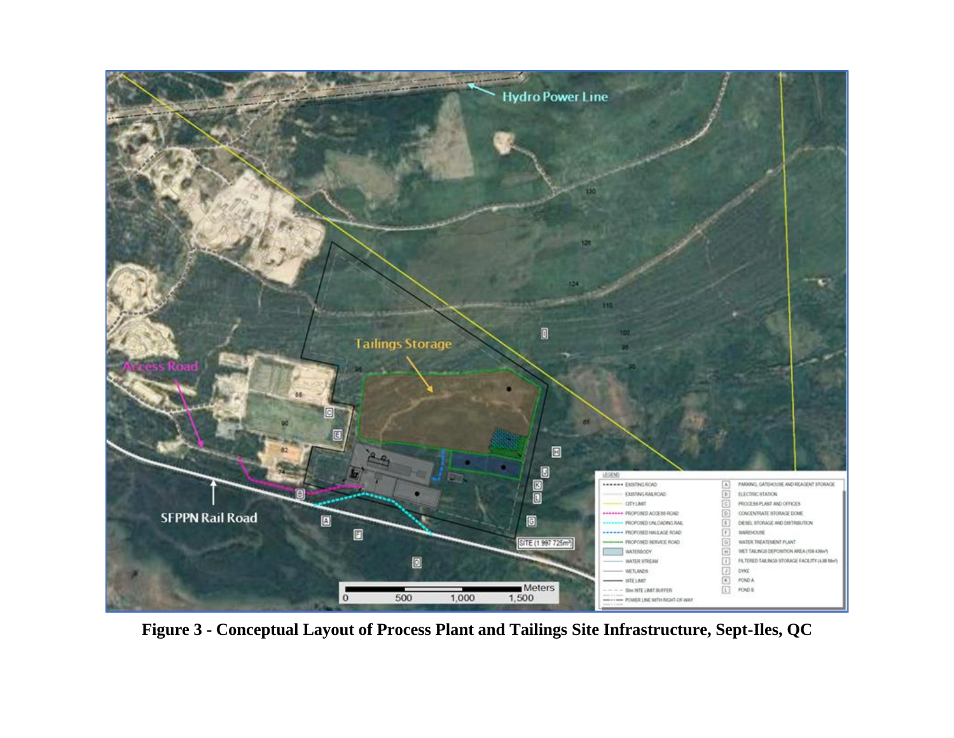

**Figure 3 - Conceptual Layout of Process Plant and Tailings Site Infrastructure, Sept-Iles, QC**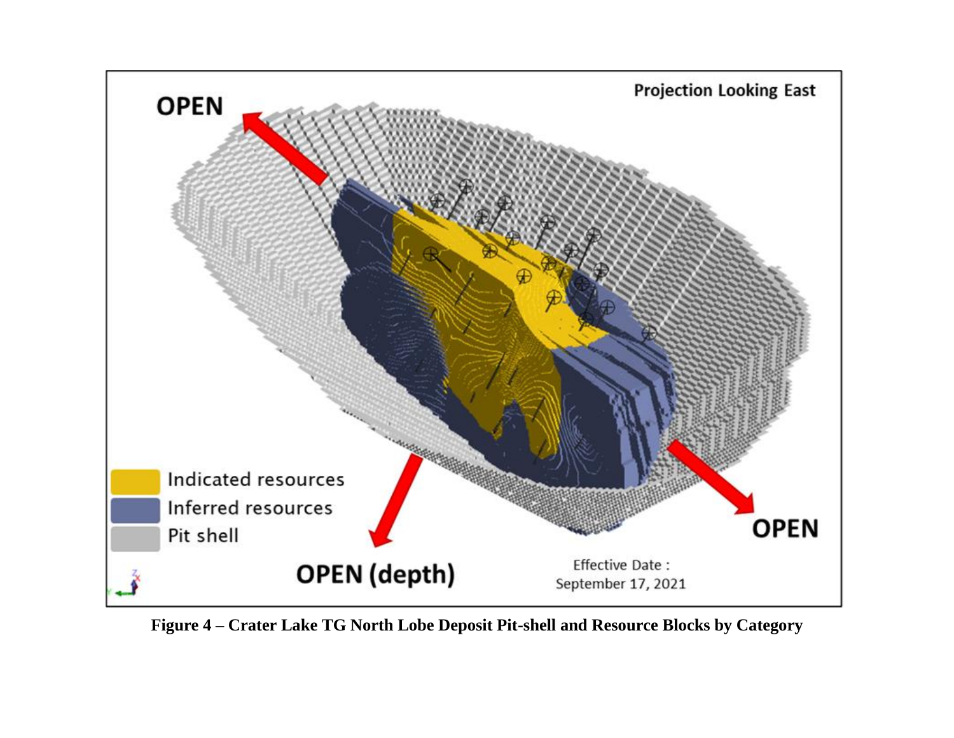

**Figure 4 – Crater Lake TG North Lobe Deposit Pit-shell and Resource Blocks by Category**